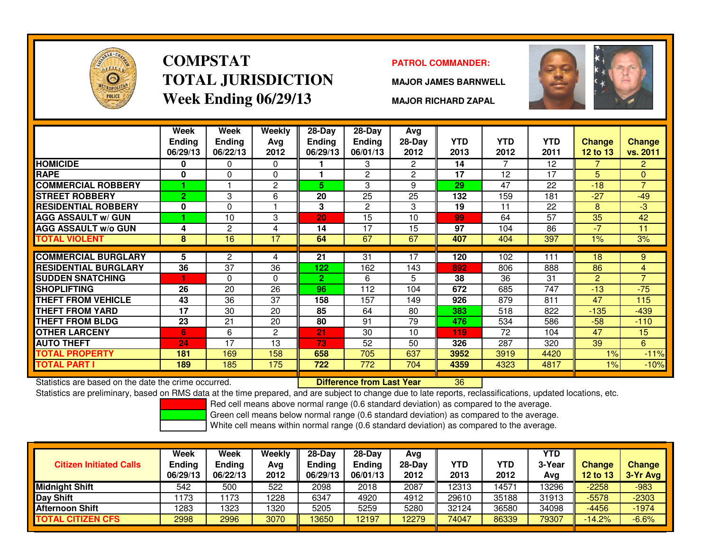

# **COMPSTATTOTAL JURISDICTIONWeek Ending 06/29/13**

### **PATROL COMMANDER:**

**MAJOR JAMES BARNWELL**



**MAJOR RICHARD ZAPAL**

|                             | Week<br><b>Ending</b><br>06/29/13 | <b>Week</b><br><b>Ending</b><br>06/22/13 | <b>Weekly</b><br>Avg<br>2012 | 28-Day<br><b>Ending</b><br>06/29/13 | 28-Day<br><b>Ending</b><br>06/01/13 | Avg<br>$28-Day$<br>2012 | <b>YTD</b><br>2013 | <b>YTD</b><br>2012 | <b>YTD</b><br>2011 | Change<br><b>12 to 13</b> | <b>Change</b><br>vs. 2011 |
|-----------------------------|-----------------------------------|------------------------------------------|------------------------------|-------------------------------------|-------------------------------------|-------------------------|--------------------|--------------------|--------------------|---------------------------|---------------------------|
| <b>HOMICIDE</b>             | 0                                 | $\Omega$                                 | $\mathbf 0$                  |                                     | 3                                   | $\mathbf{2}^{\circ}$    | 14                 | 7                  | 12                 | 7                         | $\overline{2}$            |
| <b>RAPE</b>                 | 0                                 | $\Omega$                                 | $\Omega$                     |                                     | $\overline{2}$                      | $\overline{c}$          | 17                 | 12                 | 17                 | 5                         | $\Omega$                  |
| <b>COMMERCIAL ROBBERY</b>   |                                   |                                          | $\overline{c}$               | 5.                                  | 3                                   | 9                       | 29                 | 47                 | 22                 | $-18$                     | $\overline{7}$            |
| <b>STREET ROBBERY</b>       | $\overline{2}$                    | 3                                        | 6                            | 20                                  | 25                                  | 25                      | 132                | 159                | 181                | $-27$                     | $-49$                     |
| <b>RESIDENTIAL ROBBERY</b>  | 0                                 | $\Omega$                                 |                              | 3                                   | $\overline{2}$                      | 3                       | 19                 | 11                 | 22                 | 8                         | $-3$                      |
| <b>AGG ASSAULT w/ GUN</b>   |                                   | 10                                       | 3                            | 20                                  | 15                                  | 10                      | 99                 | 64                 | 57                 | 35                        | 42                        |
| <b>AGG ASSAULT w/o GUN</b>  | 4                                 | 2                                        | 4                            | 14                                  | 17                                  | 15                      | 97                 | 104                | 86                 | -7                        | 11                        |
| <b>TOTAL VIOLENT</b>        | 8                                 | 16                                       | 17                           | 64                                  | 67                                  | 67                      | 407                | 404                | 397                | 1%                        | 3%                        |
|                             |                                   |                                          |                              |                                     |                                     |                         |                    |                    |                    |                           |                           |
| <b>COMMERCIAL BURGLARY</b>  | 5                                 | 2                                        | 4                            | 21                                  | 31                                  | 17                      | 120                | 102                | 111                | 18                        | 9                         |
| <b>RESIDENTIAL BURGLARY</b> | 36                                | 37                                       | 36                           | 122                                 | 162                                 | 143                     | 892                | 806                | 888                | 86                        | 4                         |
| <b>SUDDEN SNATCHING</b>     |                                   | $\Omega$                                 | $\Omega$                     | $\mathbf{2}$                        | 6                                   | 5                       | 38                 | 36                 | 31                 | $\overline{2}$            | $\overline{7}$            |
| SHOPLIFTING                 | 26                                | 20                                       | 26                           | 96                                  | 112                                 | 104                     | 672                | 685                | 747                | $-13$                     | $-75$                     |
| <b>THEFT FROM VEHICLE</b>   | 43                                | 36                                       | 37                           | 158                                 | 157                                 | 149                     | 926                | 879                | 811                | 47                        | 115                       |
| THEFT FROM YARD             | 17                                | 30                                       | 20                           | 85                                  | 64                                  | 80                      | 383                | 518                | 822                | $-135$                    | $-439$                    |
| <b>THEFT FROM BLDG</b>      | 23                                | 21                                       | 20                           | 80                                  | 91                                  | 79                      | 476                | 534                | 586                | $-58$                     | $-110$                    |
| <b>OTHER LARCENY</b>        | 6                                 | 6                                        | $\overline{2}$               | 21                                  | 30                                  | 10                      | 119                | 72                 | 104                | 47                        | 15                        |
| <b>AUTO THEFT</b>           | 24                                | 17                                       | 13                           | 73                                  | 52                                  | 50                      | 326                | 287                | 320                | 39                        | 6                         |
| <b>TOTAL PROPERTY</b>       | 181                               | 169                                      | 158                          | 658                                 | 705                                 | 637                     | 3952               | 3919               | 4420               | 1%                        | $-11%$                    |
| TOTAL PART I                | 189                               | 185                                      | 175                          | 722                                 | 772                                 | 704                     | 4359               | 4323               | 4817               | 1%                        | $-10%$                    |

Statistics are based on the date the crime occurred. **Difference from Last Year** 

Statistics are based on the date the crime occurred. **[89] Luite Luite Late on Last Year No. 136** Luistics are based on the date the crime occurred.<br>Statistics are preliminary, based on RMS data at the time prepared, and a

Red cell means above normal range (0.6 standard deviation) as compared to the average.

Green cell means below normal range (0.6 standard deviation) as compared to the average.

| <b>Citizen Initiated Calls</b> | Week<br><b>Ending</b><br>06/29/13 | Week<br><b>Ending</b><br>06/22/13 | Weekly<br>Avg<br>2012 | $28-Dav$<br>Ending<br>06/29/13 | $28-Dav$<br>Ending<br>06/01/13 | Avg<br>$28-Day$<br>2012 | YTD<br>2013 | YTD<br>2012 | <b>YTD</b><br>3-Year<br>Avg | <b>Change</b><br><b>12 to 13</b> | <b>Change</b><br>3-Yr Avg |
|--------------------------------|-----------------------------------|-----------------------------------|-----------------------|--------------------------------|--------------------------------|-------------------------|-------------|-------------|-----------------------------|----------------------------------|---------------------------|
| <b>Midnight Shift</b>          | 542                               | 500                               | 522                   | 2098                           | 2018                           | 2087                    | 12313       | 14571       | 13296                       | $-2258$                          | $-983$                    |
| Day Shift                      | 173                               | 173                               | 1228                  | 6347                           | 4920                           | 4912                    | 29610       | 35188       | 31913                       | $-5578$                          | $-2303$                   |
| <b>Afternoon Shift</b>         | 1283                              | 1323                              | 1320                  | 5205                           | 5259                           | 5280                    | 32124       | 36580       | 34098                       | $-4456$                          | $-1974$                   |
| <b>TOTAL CITIZEN CFS</b>       | 2998                              | 2996                              | 3070                  | 3650                           | 12197                          | 12279                   | 74047       | 86339       | 79307                       | $-14.2%$                         | $-6.6%$                   |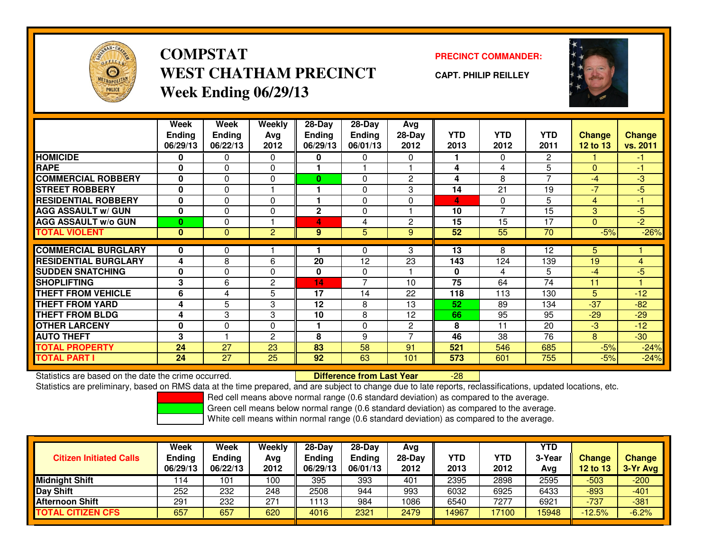

**COMPSTATWEST CHATHAM PRECINCTWeek Ending 06/29/13**

**PRECINCT COMMANDER:**

**CAPT. PHILIP REILLEY**



|                             | Week          | Week          | <b>Weekly</b>  | $28-Day$ | $28 - Day$     | Avg            |            |            |                |               |                |
|-----------------------------|---------------|---------------|----------------|----------|----------------|----------------|------------|------------|----------------|---------------|----------------|
|                             | <b>Ending</b> | <b>Ending</b> | Avg            | Ending   | <b>Ending</b>  | 28-Day         | <b>YTD</b> | <b>YTD</b> | <b>YTD</b>     | <b>Change</b> | <b>Change</b>  |
|                             | 06/29/13      | 06/22/13      | 2012           | 06/29/13 | 06/01/13       | 2012           | 2013       | 2012       | 2011           | 12 to 13      | vs. 2011       |
| <b>HOMICIDE</b>             | 0             | 0             | $\Omega$       | 0        | 0              | $\Omega$       |            | $\Omega$   | $\overline{2}$ |               | $-1$           |
| <b>RAPE</b>                 | $\mathbf{0}$  | $\Omega$      | $\Omega$       |          |                |                | 4          | 4          | 5              | $\Omega$      | $-1$           |
| <b>COMMERCIAL ROBBERY</b>   | 0             | 0             | $\Omega$       | $\bf{0}$ | $\Omega$       | $\overline{2}$ | 4          | 8          | $\overline{7}$ | $-4$          | $-3$           |
| <b>STREET ROBBERY</b>       | $\bf{0}$      | 0             |                |          | $\Omega$       | 3              | 14         | 21         | 19             | $-7$          | $-5$           |
| <b>RESIDENTIAL ROBBERY</b>  | 0             | 0             | $\Omega$       |          | $\mathbf{0}$   | $\Omega$       | 4          | $\Omega$   | 5              | 4             | $-1$           |
| <b>AGG ASSAULT w/ GUN</b>   | $\bf{0}$      | $\Omega$      | $\Omega$       | 2        | $\Omega$       |                | 10         | 7          | 15             | 3             | $-5$           |
| <b>AGG ASSAULT w/o GUN</b>  | $\bf{0}$      | $\Omega$      |                | 4        | 4              | $\overline{c}$ | 15         | 15         | 17             | $\mathbf{0}$  | $\overline{2}$ |
| <b>TOTAL VIOLENT</b>        | $\mathbf{0}$  | $\mathbf{0}$  | $\overline{2}$ | 9        | 5              | 9              | 52         | 55         | 70             | $-5%$         | $-26%$         |
| <b>COMMERCIAL BURGLARY</b>  | 0             | 0             |                |          | $\Omega$       | 3              | 13         | 8          | 12             | 5             |                |
| <b>RESIDENTIAL BURGLARY</b> | 4             | 8             | 6              | 20       | 12             | 23             | 143        | 124        | 139            | 19            | 4              |
| <b>SUDDEN SNATCHING</b>     | $\mathbf{0}$  | $\Omega$      | $\Omega$       | 0        | $\mathbf{0}$   |                | $\bf{0}$   | 4          | 5              | $-4$          | $-5$           |
| <b>SHOPLIFTING</b>          | 3             | 6             | $\overline{2}$ | 14       | $\overline{7}$ | 10             | 75         | 64         | 74             | 11            |                |
| <b>THEFT FROM VEHICLE</b>   | 6             | 4             | 5              | 17       | 14             | 22             | 118        | 113        | 130            | 5             | $-12$          |
| <b>THEFT FROM YARD</b>      | 4             | 5             | 3              | 12       | 8              | 13             | 52         | 89         | 134            | $-37$         | $-82$          |
| <b>THEFT FROM BLDG</b>      | 4             | 3             | 3              | 10       | 8              | 12             | 66         | 95         | 95             | $-29$         | $-29$          |
| <b>OTHER LARCENY</b>        | $\mathbf{0}$  | $\Omega$      | $\Omega$       |          | $\mathbf{0}$   | $\overline{c}$ | 8          | 11         | 20             | $-3$          | $-12$          |
| <b>AUTO THEFT</b>           | 3             |               | $\overline{2}$ | 8        | 9              | ⇁              | 46         | 38         | 76             | 8             | $-30$          |
| <b>TOTAL PROPERTY</b>       | 24            | 27            | 23             | 83       | 58             | 91             | 521        | 546        | 685            | $-5%$         | $-24%$         |
| <b>TOTAL PART I</b>         | 24            | 27            | 25             | 92       | 63             | 101            | 573        | 601        | 755            | $-5%$         | $-24%$         |

Statistics are based on the date the crime occurred. **Difference from Last Year** 

Statistics are preliminary, based on RMS data at the time prepared, and are subject to change due to late reports, reclassifications, updated locations, etc.

Red cell means above normal range (0.6 standard deviation) as compared to the average.

-28

Green cell means below normal range (0.6 standard deviation) as compared to the average.

| <b>Citizen Initiated Calls</b> | Week<br>Ending<br>06/29/13 | Week<br><b>Ending</b><br>06/22/13 | Weekly<br>Avg<br>2012 | $28-Day$<br>Ending<br>06/29/13 | 28-Dav<br>Endina<br>06/01/13 | Avg<br>28-Day<br>2012 | YTD<br>2013 | YTD<br>2012 | <b>YTD</b><br>3-Year<br>Avg | <b>Change</b><br><b>12 to 13</b> | Change<br>3-Yr Avg |
|--------------------------------|----------------------------|-----------------------------------|-----------------------|--------------------------------|------------------------------|-----------------------|-------------|-------------|-----------------------------|----------------------------------|--------------------|
| <b>Midnight Shift</b>          | 114                        | 101                               | 100                   | 395                            | 393                          | 401                   | 2395        | 2898        | 2595                        | $-503$                           | $-200$             |
| Day Shift                      | 252                        | 232                               | 248                   | 2508                           | 944                          | 993                   | 6032        | 6925        | 6433                        | $-893$                           | $-401$             |
| <b>Afternoon Shift</b>         | 291                        | 232                               | 271                   | 1113                           | 984                          | 1086                  | 6540        | 7277        | 6921                        | $-737$                           | $-381$             |
| <b>TOTAL CITIZEN CFS</b>       | 657                        | 657                               | 620                   | 4016                           | 2321                         | 2479                  | 14967       | 17100       | 15948                       | $-12.5%$                         | $-6.2%$            |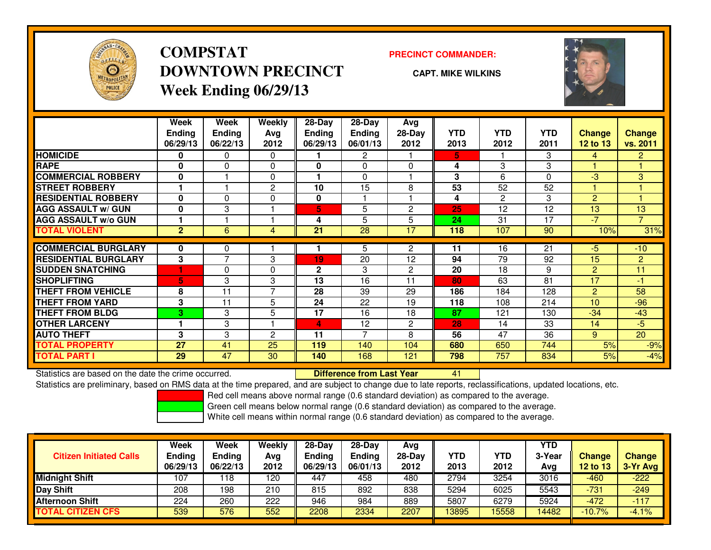

## **COMPSTATDOWNTOWN PRECINCTWeek Ending 06/29/13**

### **PRECINCT COMMANDER:**

**CAPT. MIKE WILKINS**

<sup>41</sup>



|                             | Week<br><b>Ending</b><br>06/29/13 | Week<br><b>Ending</b><br>06/22/13 | Weekly<br>Ava<br>2012 | 28-Day<br>Ending<br>06/29/13 | 28-Day<br><b>Ending</b><br>06/01/13 | Avg<br>$28-Day$<br>2012 | <b>YTD</b><br>2013 | <b>YTD</b><br>2012 | <b>YTD</b><br>2011 | <b>Change</b><br>12 to 13 | <b>Change</b><br>vs. 2011 |
|-----------------------------|-----------------------------------|-----------------------------------|-----------------------|------------------------------|-------------------------------------|-------------------------|--------------------|--------------------|--------------------|---------------------------|---------------------------|
| <b>HOMICIDE</b>             | 0                                 | 0                                 | 0                     |                              | 2                                   |                         | 5                  |                    | 3                  | 4                         | $\overline{2}$            |
| <b>RAPE</b>                 | 0                                 | $\Omega$                          | 0                     | 0                            | $\Omega$                            | $\Omega$                | 4                  | 3                  | 3                  |                           |                           |
| <b>COMMERCIAL ROBBERY</b>   | $\mathbf{0}$                      |                                   | $\Omega$              |                              | $\Omega$                            |                         | 3                  | 6                  | $\Omega$           | -3                        | 3                         |
| <b>STREET ROBBERY</b>       |                                   |                                   | $\mathbf{2}$          | 10                           | 15                                  | 8                       | 53                 | 52                 | 52                 |                           |                           |
| <b>RESIDENTIAL ROBBERY</b>  | $\bf{0}$                          | $\Omega$                          | 0                     | 0                            |                                     |                         | 4                  | 2                  | 3                  | $\overline{2}$            |                           |
| <b>AGG ASSAULT w/ GUN</b>   | $\bf{0}$                          | 3                                 |                       | 5                            | 5                                   | $\overline{c}$          | 25                 | 12                 | 12                 | 13                        | 13                        |
| <b>AGG ASSAULT w/o GUN</b>  |                                   |                                   |                       | 4                            | 5                                   | 5                       | 24                 | 31                 | 17                 | $-7$                      | $\overline{7}$            |
| <b>TOTAL VIOLENT</b>        | $\overline{2}$                    | 6                                 | 4                     | 21                           | 28                                  | 17                      | 118                | 107                | 90                 | 10%                       | 31%                       |
| <b>COMMERCIAL BURGLARY</b>  | 0                                 | 0                                 |                       |                              | 5                                   | $\overline{2}$          | 11                 | 16                 | 21                 | -5                        | $-10$                     |
| <b>RESIDENTIAL BURGLARY</b> | 3                                 | $\overline{7}$                    | 3                     | 19                           | 20                                  | 12                      | 94                 | 79                 | 92                 | 15                        | $\overline{2}$            |
|                             |                                   |                                   |                       |                              |                                     |                         |                    |                    |                    |                           |                           |
| <b>SUDDEN SNATCHING</b>     |                                   | $\Omega$                          | $\Omega$              | $\mathbf{2}$                 | 3                                   | $\overline{2}$          | 20                 | 18                 | 9                  | 2                         | 11                        |
| <b>SHOPLIFTING</b>          | 5                                 | 3                                 | 3                     | 13                           | 16                                  | 11                      | 80                 | 63                 | 81                 | 17                        | $-1$                      |
| <b>THEFT FROM VEHICLE</b>   | 8                                 | 11                                | 7                     | 28                           | 39                                  | 29                      | 186                | 184                | 128                | $\overline{2}$            | 58                        |
| <b>THEFT FROM YARD</b>      | 3                                 | 11                                | 5                     | 24                           | 22                                  | 19                      | 118                | 108                | 214                | 10                        | $-96$                     |
| <b>THEFT FROM BLDG</b>      | 3                                 | 3                                 | 5                     | 17                           | 16                                  | 18                      | 87                 | 121                | 130                | $-34$                     | $-43$                     |
| <b>OTHER LARCENY</b>        |                                   | 3                                 |                       | 4                            | 12                                  | $\overline{c}$          | 28                 | 14                 | 33                 | 14                        | $-5$                      |
| <b>AUTO THEFT</b>           | 3                                 | 3                                 | $\overline{c}$        | 11                           | 7                                   | 8                       | 56                 | 47                 | 36                 | 9                         | 20                        |
| <b>TOTAL PROPERTY</b>       | 27                                | 41                                | 25                    | 119                          | 140                                 | 104                     | 680                | 650                | 744                | 5%                        | $-9%$                     |
| <b>TOTAL PART I</b>         | 29                                | 47                                | 30                    | 140                          | 168                                 | 121                     | 798                | 757                | 834                | 5%                        | $-4%$                     |

Statistics are based on the date the crime occurred. **Difference from Last Year** 

Statistics are preliminary, based on RMS data at the time prepared, and are subject to change due to late reports, reclassifications, updated locations, etc.

Red cell means above normal range (0.6 standard deviation) as compared to the average.

Green cell means below normal range (0.6 standard deviation) as compared to the average.

| <b>Citizen Initiated Calls</b> | Week<br>Ending<br>06/29/13 | Week<br><b>Ending</b><br>06/22/13 | Weekly<br>Avg<br>2012 | $28-Day$<br><b>Ending</b><br>06/29/13 | $28-Dav$<br><b>Ending</b><br>06/01/13 | Avg<br>28-Day<br>2012 | <b>YTD</b><br>2013 | YTD<br>2012 | <b>YTD</b><br>3-Year<br>Avg | <b>Change</b><br><b>12 to 13</b> | <b>Change</b><br>3-Yr Avg |
|--------------------------------|----------------------------|-----------------------------------|-----------------------|---------------------------------------|---------------------------------------|-----------------------|--------------------|-------------|-----------------------------|----------------------------------|---------------------------|
| <b>Midnight Shift</b>          | 107                        | 118                               | 120                   | 447                                   | 458                                   | 480                   | 2794               | 3254        | 3016                        | $-460$                           | $-222$                    |
| <b>Day Shift</b>               | 208                        | 198                               | 210                   | 815                                   | 892                                   | 838                   | 5294               | 6025        | 5543                        | $-731$                           | $-249$                    |
| <b>Afternoon Shift</b>         | 224                        | 260                               | 222                   | 946                                   | 984                                   | 889                   | 5807               | 6279        | 5924                        | $-472$                           | $-117$                    |
| <b>TOTAL CITIZEN CFS</b>       | 539                        | 576                               | 552                   | 2208                                  | 2334                                  | 2207                  | 3895               | 15558       | 14482                       | $-10.7%$                         | $-4.1%$                   |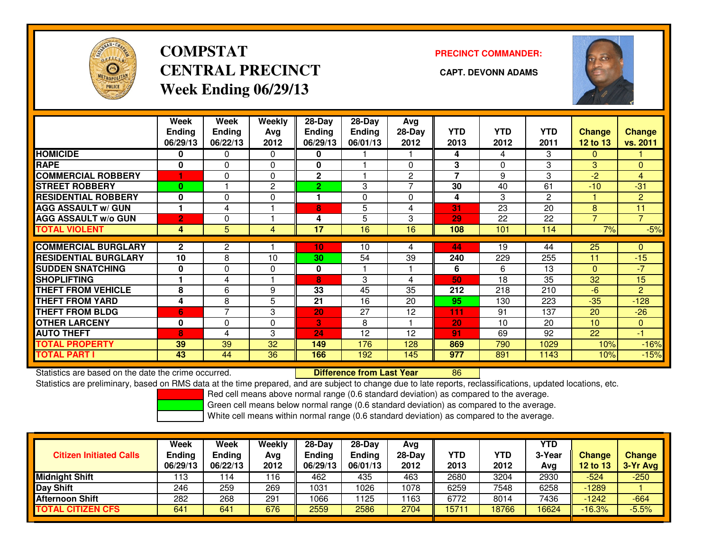

# **COMPSTATCENTRAL PRECINCT CAPT. DEVONN ADAMSWeek Ending 06/29/13**

**PRECINCT COMMANDER:**



|                             | Week<br><b>Ending</b> | <b>Week</b><br><b>Ending</b> | <b>Weekly</b><br>Avg | 28-Day<br><b>Ending</b> | 28-Day<br>Ending | Avg<br>28-Day  | <b>YTD</b>     | <b>YTD</b> | <b>YTD</b>     | <b>Change</b>  | <b>Change</b>  |
|-----------------------------|-----------------------|------------------------------|----------------------|-------------------------|------------------|----------------|----------------|------------|----------------|----------------|----------------|
|                             | 06/29/13              | 06/22/13                     | 2012                 | 06/29/13                | 06/01/13         | 2012           | 2013           | 2012       | 2011           | 12 to 13       | vs. 2011       |
| <b>HOMICIDE</b>             | 0                     | 0                            | 0                    | 0                       |                  |                | 4              | 4          | 3              | $\Omega$       |                |
| <b>RAPE</b>                 | 0                     | $\Omega$                     | $\Omega$             | 0                       |                  | 0              | 3              | $\Omega$   | 3              | 3              | $\overline{0}$ |
| <b>COMMERCIAL ROBBERY</b>   | 1                     | 0                            | $\Omega$             | $\mathbf{2}$            |                  | $\overline{2}$ | $\overline{7}$ | 9          | 3              | $-2$           | $\overline{4}$ |
| <b>STREET ROBBERY</b>       | $\bf{0}$              |                              | 2                    | $\overline{2}$          | 3                | 7              | 30             | 40         | 61             | $-10$          | $-31$          |
| <b>RESIDENTIAL ROBBERY</b>  | $\bf{0}$              | $\Omega$                     | $\Omega$             |                         | 0                | 0              | 4              | 3          | $\overline{2}$ |                | $\overline{2}$ |
| <b>AGG ASSAULT w/ GUN</b>   | 1                     | 4                            |                      | 8                       | 5                | 4              | 31             | 23         | 20             | 8              | 11             |
| <b>AGG ASSAULT w/o GUN</b>  | $\overline{2}$        | 0                            |                      | 4                       | 5                | 3              | 29             | 22         | 22             | $\overline{7}$ | $\overline{7}$ |
| <b>TOTAL VIOLENT</b>        | 4                     | 5                            | 4                    | 17                      | 16               | 16             | 108            | 101        | 114            | 7%             | $-5%$          |
|                             |                       |                              |                      |                         |                  |                |                |            |                |                |                |
| <b>COMMERCIAL BURGLARY</b>  | $\overline{2}$        | 2                            |                      | 10                      | 10               | 4              | 44             | 19         | 44             | 25             | $\Omega$       |
| <b>RESIDENTIAL BURGLARY</b> | 10                    | 8                            | 10                   | 30                      | 54               | 39             | 240            | 229        | 255            | 11             | $-15$          |
| <b>SUDDEN SNATCHING</b>     | $\mathbf{0}$          | $\Omega$                     | $\Omega$             | 0                       |                  |                | 6              | 6          | 13             | $\mathbf{0}$   | $-7$           |
| <b>SHOPLIFTING</b>          |                       | 4                            |                      | 8                       | 3                | 4              | 50             | 18         | 35             | 32             | 15             |
| <b>THEFT FROM VEHICLE</b>   | 8                     | 6                            | 9                    | 33                      | 45               | 35             | 212            | 218        | 210            | $-6$           | $\overline{2}$ |
| <b>THEFT FROM YARD</b>      | 4                     | 8                            | 5                    | 21                      | 16               | 20             | 95             | 130        | 223            | $-35$          | $-128$         |
| <b>THEFT FROM BLDG</b>      | 6                     | 7                            | 3                    | 20                      | 27               | 12             | 111            | 91         | 137            | 20             | $-26$          |
| <b>OTHER LARCENY</b>        | $\mathbf 0$           | $\Omega$                     | 0                    | 3                       | 8                |                | 20             | 10         | 20             | 10             | $\overline{0}$ |
| <b>AUTO THEFT</b>           | 8                     | 4                            | 3                    | 24                      | 12               | 12             | 91             | 69         | 92             | 22             | $-1$           |
| <b>TOTAL PROPERTY</b>       | 39                    | 39                           | 32                   | 149                     | 176              | 128            | 869            | 790        | 1029           | 10%            | $-16%$         |
| <b>TOTAL PART I</b>         | 43                    | 44                           | 36                   | 166                     | 192              | 145            | 977            | 891        | 1143           | 10%            | $-15%$         |

Statistics are based on the date the crime occurred. **Difference from Last Year** 

Statistics are based on the date the crime occurred. **Externee the Difference from Last Year the Statistics are**<br>Statistics are preliminary, based on RMS data at the time prepared, and are subject to change due to late rep

Red cell means above normal range (0.6 standard deviation) as compared to the average.

Green cell means below normal range (0.6 standard deviation) as compared to the average.

| <b>Citizen Initiated Calls</b> | <b>Week</b><br><b>Ending</b><br>06/29/13 | Week<br>Ending<br>06/22/13 | Weekly<br>Avg<br>2012 | $28-Day$<br><b>Ending</b><br>06/29/13 | $28-Dav$<br>Ending<br>06/01/13 | Avg<br>$28-Day$<br>2012 | <b>YTD</b><br>2013 | <b>YTD</b><br>2012 | <b>YTD</b><br>3-Year<br>Avg | Change<br>12 to 13 | <b>Change</b><br>3-Yr Avg |
|--------------------------------|------------------------------------------|----------------------------|-----------------------|---------------------------------------|--------------------------------|-------------------------|--------------------|--------------------|-----------------------------|--------------------|---------------------------|
| <b>Midnight Shift</b>          | 113                                      | ำ4                         | 116                   | 462                                   | 435                            | 463                     | 2680               | 3204               | 2930                        | $-524$             | $-250$                    |
| Day Shift                      | 246                                      | 259                        | 269                   | 1031                                  | 1026                           | 1078                    | 6259               | 7548               | 6258                        | -1289              |                           |
| <b>Afternoon Shift</b>         | 282                                      | 268                        | 291                   | 1066                                  | 1125                           | 1163                    | 6772               | 8014               | 7436                        | $-1242$            | -664                      |
| <b>TOTAL CITIZEN CFS</b>       | 641                                      | 641                        | 676                   | 2559                                  | 2586                           | 2704                    | 15711              | 18766              | 16624                       | $-16.3%$           | $-5.5%$                   |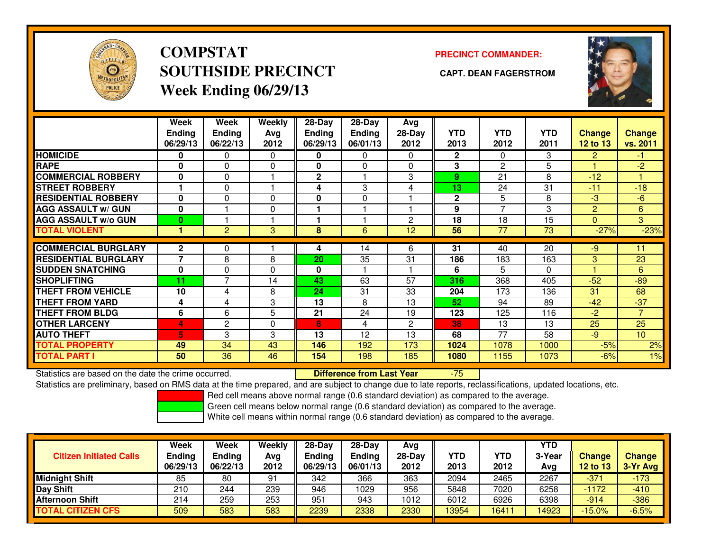

**COMPSTATSOUTHSIDE PRECINCT CAPT. DEAN FAGERSTROMWeek Ending 06/29/13**

### **PRECINCT COMMANDER:**



|                             | Week<br>Ending<br>06/29/13 | <b>Week</b><br><b>Ending</b><br>06/22/13 | <b>Weekly</b><br>Avg<br>2012 | $28 - Day$<br>Ending<br>06/29/13 | $28 - Day$<br><b>Ending</b><br>06/01/13 | Avg<br>28-Day<br>2012 | <b>YTD</b><br>2013 | <b>YTD</b><br>2012 | <b>YTD</b><br>2011 | <b>Change</b><br><b>12 to 13</b> | <b>Change</b><br>vs. 2011 |
|-----------------------------|----------------------------|------------------------------------------|------------------------------|----------------------------------|-----------------------------------------|-----------------------|--------------------|--------------------|--------------------|----------------------------------|---------------------------|
| <b>HOMICIDE</b>             | 0                          | 0                                        | 0                            | 0                                | $\mathbf{0}$                            | 0                     | $\mathbf{2}$       | 0                  | 3                  | 2                                | -1.                       |
| <b>RAPE</b>                 | 0                          | 0                                        | $\mathbf 0$                  | 0                                | $\Omega$                                | $\Omega$              | 3                  | 2                  | 5                  |                                  | -2                        |
| <b>COMMERCIAL ROBBERY</b>   | $\bf{0}$                   | 0                                        |                              | $\mathbf 2$                      |                                         | 3                     | 9                  | 21                 | 8                  | $-12$                            |                           |
| <b>STREET ROBBERY</b>       | 1                          | $\mathbf{0}$                             |                              | 4                                | 3                                       | 4                     | 13                 | 24                 | 31                 | $-11$                            | $-18$                     |
| <b>RESIDENTIAL ROBBERY</b>  | $\bf{0}$                   | 0                                        | $\Omega$                     | 0                                | $\Omega$                                |                       | $\mathbf 2$        | 5                  | 8                  | -3                               | $-6$                      |
| <b>AGG ASSAULT w/ GUN</b>   | $\bf{0}$                   |                                          | $\mathbf 0$                  |                                  |                                         |                       | 9                  | $\overline{ }$     | 3                  | 2                                | 6                         |
| <b>AGG ASSAULT w/o GUN</b>  | $\bf{0}$                   |                                          |                              |                                  |                                         | $\overline{c}$        | 18                 | 18                 | 15                 | $\Omega$                         | 3                         |
| <b>TOTAL VIOLENT</b>        | 1                          | 2                                        | 3                            | 8                                | 6                                       | 12                    | 56                 | 77                 | 73                 | $-27%$                           | $-23%$                    |
| <b>COMMERCIAL BURGLARY</b>  | $\mathbf{2}$               | 0                                        |                              | 4                                | 14                                      | 6                     | 31                 | 40                 | $\overline{20}$    | -9                               | 11                        |
| <b>RESIDENTIAL BURGLARY</b> | $\overline{7}$             | 8                                        | 8                            | 20                               | 35                                      | 31                    | 186                | 183                | 163                | 3                                | 23                        |
| <b>SUDDEN SNATCHING</b>     | $\bf{0}$                   | 0                                        | $\Omega$                     | 0                                |                                         |                       | 6                  | 5                  | 0                  |                                  | 6                         |
| <b>SHOPLIFTING</b>          | 11                         | 7                                        | 14                           | 43                               | 63                                      | 57                    | 316                | 368                | 405                | $-52$                            | $-89$                     |
| <b>THEFT FROM VEHICLE</b>   | 10                         | 4                                        | 8                            | 24                               | 31                                      | 33                    | 204                | 173                | 136                | 31                               | 68                        |
| <b>THEFT FROM YARD</b>      | 4                          | 4                                        | 3                            | 13                               | 8                                       | 13                    | 52                 | 94                 | 89                 | $-42$                            | $-37$                     |
| <b>THEFT FROM BLDG</b>      | 6                          | 6                                        | 5                            | 21                               | 24                                      | 19                    | 123                | 125                | 116                | $-2$                             | $\overline{7}$            |
| <b>OTHER LARCENY</b>        |                            | $\overline{2}$                           |                              |                                  |                                         | $\overline{2}$        | 38                 | 13                 | 13                 | 25                               | $\overline{25}$           |
|                             | 4                          |                                          | $\Omega$                     | 8                                | 4                                       |                       |                    |                    |                    |                                  |                           |
| <b>AUTO THEFT</b>           | 5                          | 3                                        | 3                            | 13                               | 12                                      | 13                    | 68                 | 77                 | 58                 | $-9$                             | 10                        |
| <b>TOTAL PROPERTY</b>       | 49                         | 34                                       | 43                           | 146                              | 192                                     | 173                   | 1024               | 1078               | 1000               | $-5%$                            | 2%                        |
| <b>TOTAL PART I</b>         | 50                         | 36                                       | 46                           | 154                              | 198                                     | 185                   | 1080               | 1155               | 1073               | $-6%$                            | 1%                        |

Statistics are based on the date the crime occurred. **Difference from Last Year** 

-75

Statistics are preliminary, based on RMS data at the time prepared, and are subject to change due to late reports, reclassifications, updated locations, etc.

Red cell means above normal range (0.6 standard deviation) as compared to the average.

Green cell means below normal range (0.6 standard deviation) as compared to the average.

|                                | Week                      | <b>Week</b>               | Weekly      | $28-Day$                  | $28-Dav$           | Avg              |             |                    | <b>YTD</b>    |                           |                             |
|--------------------------------|---------------------------|---------------------------|-------------|---------------------------|--------------------|------------------|-------------|--------------------|---------------|---------------------------|-----------------------------|
| <b>Citizen Initiated Calls</b> | <b>Ending</b><br>06/29/13 | <b>Ending</b><br>06/22/13 | Avg<br>2012 | <b>Ending</b><br>06/29/13 | Ending<br>06/01/13 | $28-Dav$<br>2012 | YTD<br>2013 | <b>YTD</b><br>2012 | 3-Year<br>Avg | <b>Change</b><br>12 to 13 | <b>Change</b><br>$3-Yr$ Avg |
| <b>Midnight Shift</b>          | 85                        | 80                        | 91          | 342                       | 366                | 363              | 2094        | 2465               | 2267          | $-371$                    | $-173$                      |
| Day Shift                      | 210                       | 244                       | 239         | 946                       | 1029               | 956              | 5848        | 7020               | 6258          | $-1172$                   | $-410$                      |
| <b>Afternoon Shift</b>         | 214                       | 259                       | 253         | 951                       | 943                | 1012             | 6012        | 6926               | 6398          | -914                      | $-386$                      |
| <b>TOTAL CITIZEN CFS</b>       | 509                       | 583                       | 583         | 2239                      | 2338               | 2330             | 13954       | 16411              | 4923          | $-15.0\%$                 | $-6.5%$                     |
|                                |                           |                           |             |                           |                    |                  |             |                    |               |                           |                             |